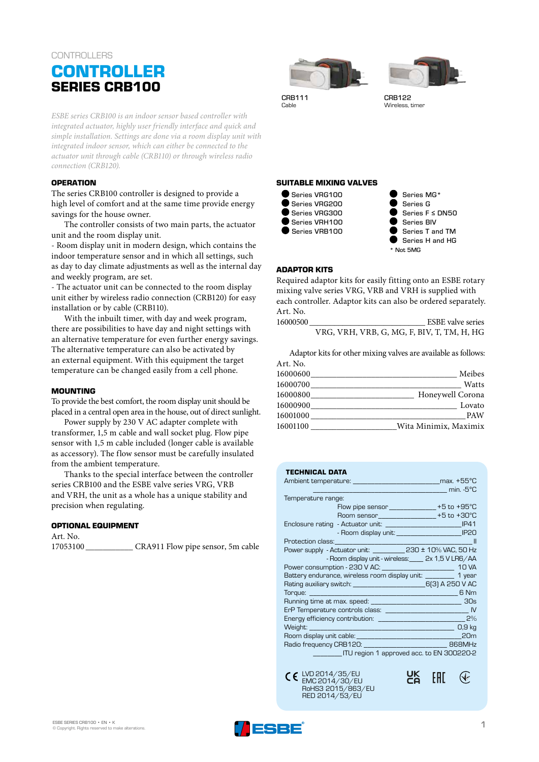## **CONTROLLERS**

# **CONTROLLER SERIES CRB100**

*ESBE series CRB100 is an indoor sensor based controller with integrated actuator, highly user friendly interface and quick and simple installation. Settings are done via a room display unit with integrated indoor sensor, which can either be connected to the actuator unit through cable (CRB110) or through wireless radio connection (CRB120).* 

## **OPERATION**

The series CRB100 controller is designed to provide a high level of comfort and at the same time provide energy savings for the house owner.

The controller consists of two main parts, the actuator unit and the room display unit.

- Room display unit in modern design, which contains the indoor temperature sensor and in which all settings, such as day to day climate adjustments as well as the internal day and weekly program, are set.

- The actuator unit can be connected to the room display unit either by wireless radio connection (CRB120) for easy installation or by cable (CRB110).

With the inbuilt timer, with day and week program, there are possibilities to have day and night settings with an alternative temperature for even further energy savings. The alternative temperature can also be activated by an external equipment. With this equipment the target temperature can be changed easily from a cell phone.

#### **MOUNTING**

To provide the best comfort, the room display unit should be placed in a central open area in the house, out of direct sunlight.

Power supply by 230 V AC adapter complete with transformer, 1,5 m cable and wall socket plug. Flow pipe sensor with 1,5 m cable included (longer cable is available as accessory). The flow sensor must be carefully insulated from the ambient temperature.

Thanks to the special interface between the controller series CRB100 and the ESBE valve series VRG, VRB and VRH, the unit as a whole has a unique stability and precision when regulating.

#### **OPTIONAL EQUIPMENT**

Art. No. 17053100 \_\_\_\_\_\_\_\_\_\_\_ CRA911 Flow pipe sensor, 5m cable





CRB111 CRB122<br>Cable Wireless

Wireless, timer

## **SUITABLE MIXING VALVES**



 Series MG\* Series G Series F ≤ DN50 Series BIV Series T and TM Series H and HG \* Not 5MG

#### **ADAPTOR KITS**

Required adaptor kits for easily fitting onto an ESBE rotary mixing valve series VRG, VRB and VRH is supplied with each controller. Adaptor kits can also be ordered separately. Art. No.

16000500 **ESBE** valve series VRG, VRH, VRB, G, MG, F, BIV, T, TM, H, HG

Adaptor kits for other mixing valves are available as follows: Art. No.

| Meibes                            |  |
|-----------------------------------|--|
| Watts                             |  |
| Honeywell Corona                  |  |
| Lovato                            |  |
| <b>PAW</b>                        |  |
| Wita Minimix, Maximix<br>16001100 |  |
|                                   |  |

|  |  | TECHNICAL DATA |
|--|--|----------------|
|  |  |                |

| Temperature range:                                                        |  |  |  |  |  |  |  |  |
|---------------------------------------------------------------------------|--|--|--|--|--|--|--|--|
| Flow pipe sensor ______________ +5 to +95°C                               |  |  |  |  |  |  |  |  |
| Room sensor_________________+5 to +30°C                                   |  |  |  |  |  |  |  |  |
|                                                                           |  |  |  |  |  |  |  |  |
|                                                                           |  |  |  |  |  |  |  |  |
| <b>State of the State</b>                                                 |  |  |  |  |  |  |  |  |
| Power supply - Actuator unit: ____________ 230 ± 10% VAC, 50 Hz           |  |  |  |  |  |  |  |  |
| - Room display unit - wireless: _____ 2x 1,5 V LR6/AA                     |  |  |  |  |  |  |  |  |
| Power consumption - 230 V AC: __________________________________ 10 VA    |  |  |  |  |  |  |  |  |
| Battery endurance, wireless room display unit: _________ 1 year           |  |  |  |  |  |  |  |  |
| Rating auxiliary switch: _________________________________6(3) A 250 V AC |  |  |  |  |  |  |  |  |
|                                                                           |  |  |  |  |  |  |  |  |
|                                                                           |  |  |  |  |  |  |  |  |
|                                                                           |  |  |  |  |  |  |  |  |
|                                                                           |  |  |  |  |  |  |  |  |
| Weight: 0,9 kg                                                            |  |  |  |  |  |  |  |  |
| 20 <sub>m</sub>                                                           |  |  |  |  |  |  |  |  |
| Radio frequency CRB120: __________________________________ 868MHz         |  |  |  |  |  |  |  |  |
| ITU region 1 approved acc. to EN 300220-2                                 |  |  |  |  |  |  |  |  |



EAC<sub>1</sub>

 $\mathcal Q$ 

UK<br>Co